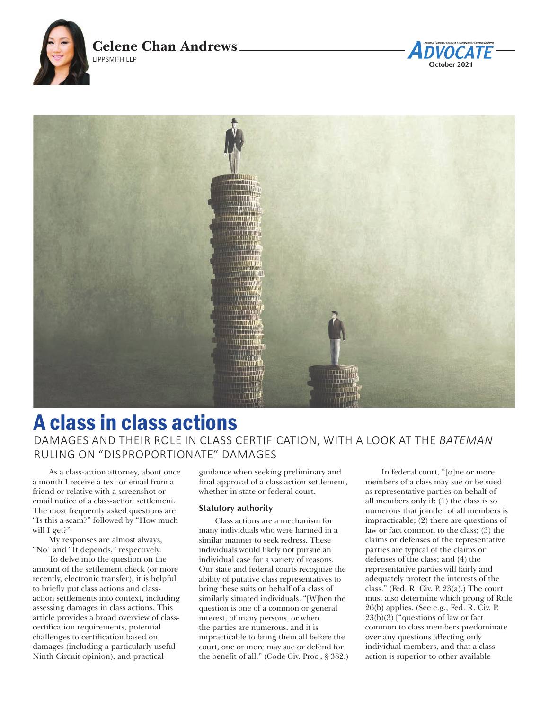





# A class in class actions

DAMAGES AND THEIR ROLE IN CLASS CERTIFICATION, WITH A LOOK AT THE *BATEMAN* RULING ON "DISPROPORTIONATE" DAMAGES

As a class-action attorney, about once a month I receive a text or email from a friend or relative with a screenshot or email notice of a class-action settlement. The most frequently asked questions are: "Is this a scam?" followed by "How much will I get?"

My responses are almost always, "No" and "It depends," respectively.

To delve into the question on the amount of the settlement check (or more recently, electronic transfer), it is helpful to briefly put class actions and classaction settlements into context, including assessing damages in class actions. This article provides a broad overview of classcertification requirements, potential challenges to certification based on damages (including a particularly useful Ninth Circuit opinion), and practical

guidance when seeking preliminary and final approval of a class action settlement, whether in state or federal court.

## **Statutory authority**

Class actions are a mechanism for many individuals who were harmed in a similar manner to seek redress. These individuals would likely not pursue an individual case for a variety of reasons. Our state and federal courts recognize the ability of putative class representatives to bring these suits on behalf of a class of similarly situated individuals. "[W]hen the question is one of a common or general interest, of many persons, or when the parties are numerous, and it is impracticable to bring them all before the court, one or more may sue or defend for the benefit of all." (Code Civ. Proc., § 382.)

In federal court, "[o]ne or more members of a class may sue or be sued as representative parties on behalf of all members only if: (1) the class is so numerous that joinder of all members is impracticable; (2) there are questions of law or fact common to the class; (3) the claims or defenses of the representative parties are typical of the claims or defenses of the class; and (4) the representative parties will fairly and adequately protect the interests of the class." (Fed. R. Civ. P. 23(a).) The court must also determine which prong of Rule 26(b) applies. (See e.g., Fed. R. Civ. P. 23(b)(3) ["questions of law or fact common to class members predominate over any questions affecting only individual members, and that a class action is superior to other available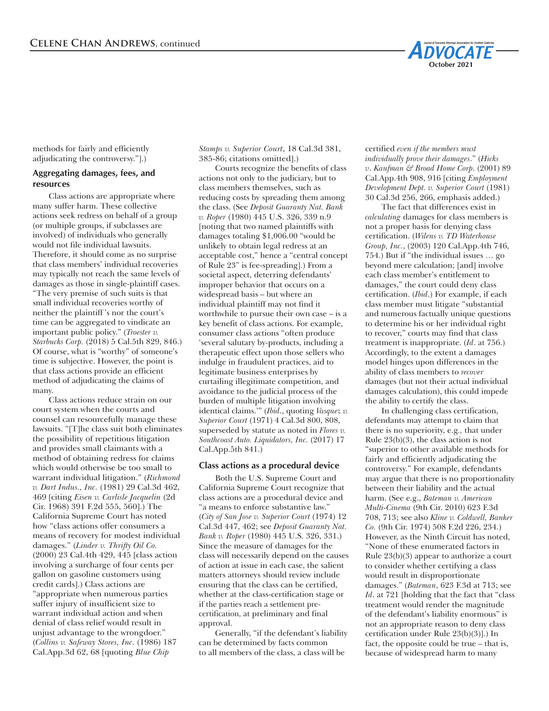

methods for fairly and efficiently adjudicating the controversy."].)

## **Aggregating damages, fees, and resources**

Class actions are appropriate where many suffer harm. These collective actions seek redress on behalf of a group (or multiple groups, if subclasses are involved) of individuals who generally would not file individual lawsuits. Therefore, it should come as no surprise that class members' individual recoveries may typically not reach the same levels of damages as those in single-plaintiff cases. "The very premise of such suits is that small individual recoveries worthy of neither the plaintiff 's nor the court's time can be aggregated to vindicate an important public policy." (*Troester v. Starbucks Corp.* (2018) 5 Cal.5th 829, 846.) Of course, what is "worthy" of someone's time is subjective. However, the point is that class actions provide an efficient method of adjudicating the claims of many.

Class actions reduce strain on our court system when the courts and counsel can resourcefully manage these lawsuits. "[T]he class suit both eliminates the possibility of repetitious litigation and provides small claimants with a method of obtaining redress for claims which would otherwise be too small to warrant individual litigation." (*Richmond v. Dart Indus., Inc.* (1981) 29 Cal.3d 462, 469 [citing *Eisen v. Carlisle Jacquelin* (2d Cir. 1968) 391 F.2d 555, 560].) The California Supreme Court has noted how "class actions offer consumers a means of recovery for modest individual damages." (*Linder v. Thrifty Oil Co.* (2000) 23 Cal.4th 429, 445 [class action involving a surcharge of four cents per gallon on gasoline customers using credit cards].) Class actions are "appropriate when numerous parties suffer injury of insufficient size to warrant individual action and when denial of class relief would result in unjust advantage to the wrongdoer." (*Collins v. Safeway Stores, Inc.* (1986) 187 Cal.App.3d 62, 68 [quoting *Blue Chip* 

*Stamps v. Superior Court*, 18 Cal.3d 381, 385-86; citations omitted].)

Courts recognize the benefits of class actions not only to the judiciary, but to class members themselves, such as reducing costs by spreading them among the class. (See *Deposit Guaranty Nat. Bank v. Roper* (1980) 445 U.S. 326, 339 n.9 [noting that two named plaintiffs with damages totaling \$1,006.00 "would be unlikely to obtain legal redress at an acceptable cost," hence a "central concept of Rule 23" is fee-spreading].) From a societal aspect, deterring defendants' improper behavior that occurs on a widespread basis – but where an individual plaintiff may not find it worthwhile to pursue their own case – is a key benefit of class actions. For example, consumer class actions "often produce 'several salutary by-products, including a therapeutic effect upon those sellers who indulge in fraudulent practices, aid to legitimate business enterprises by curtailing illegitimate competition, and avoidance to the judicial process of the burden of multiple litigation involving identical claims.'" (*Ibid*., quoting *Vasquez v. Superior Court* (1971) 4 Cal.3d 800, 808, superseded by statute as noted in *Flores v. Southcoast Auto. Liquidators, Inc.* (2017) 17 Cal.App.5th 841.)

#### **Class actions as a procedural device**

Both the U.S. Supreme Court and California Supreme Court recognize that class actions are a procedural device and "a means to enforce substantive law." (*City of San Jose v. Superior Court* (1974) 12 Cal.3d 447, 462; see *Deposit Guaranty Nat. Bank v. Roper* (1980) 445 U.S. 326, 331.) Since the measure of damages for the class will necessarily depend on the causes of action at issue in each case, the salient matters attorneys should review include ensuring that the class can be certified, whether at the class-certification stage or if the parties reach a settlement precertification, at preliminary and final approval.

Generally, "if the defendant's liability can be determined by facts common to all members of the class, a class will be

certified *even if the members must individually prove their damages*." (*Hicks v*. *Kaufman & Broad Home Corp*. (2001) 89 Cal.App.4th 908, 916 [citing *Employment Development Dept. v. Superior Court* (1981) 30 Cal.3d 256, 266, emphasis added.)

The fact that differences exist in *calculating* damages for class members is not a proper basis for denying class certification. (*Wilens v. TD Waterhouse Group, Inc.*, (2003) 120 Cal.App.4th 746, 754.) But if "the individual issues … go beyond mere calculation; [and] involve each class member's entitlement to damages," the court could deny class certification. (*Ibid*.) For example, if each class member must litigate "substantial and numerous factually unique questions to determine his or her individual right to recover," courts may find that class treatment is inappropriate. (*Id*. at 756.) Accordingly, to the extent a damages model hinges upon differences in the ability of class members to *recover* damages (but not their actual individual damages calculation), this could impede the ability to certify the class.

In challenging class certification, defendants may attempt to claim that there is no superiority, e.g*.,* that under Rule 23(b)(3), the class action is not "superior to other available methods for fairly and efficiently adjudicating the controversy." For example, defendants may argue that there is no proportionality between their liability and the actual harm. (See e.g., *Bateman v. American Multi-Cinema* (9th Cir. 2010) 623 F.3d 708, 713; see also *Kline v. Coldwell, Banker Co.* (9th Cir. 1974) 508 F.2d 226, 234.) However, as the Ninth Circuit has noted, "None of these enumerated factors in Rule 23(b)(3) appear to authorize a court to consider whether certifying a class would result in disproportionate damages." (*Bateman*, 623 F.3d at 713; see *Id*. at 721 [holding that the fact that "class treatment would render the magnitude of the defendant's liability enormous" is not an appropriate reason to deny class certification under Rule 23(b)(3)].) In fact, the opposite could be true – that is, because of widespread harm to many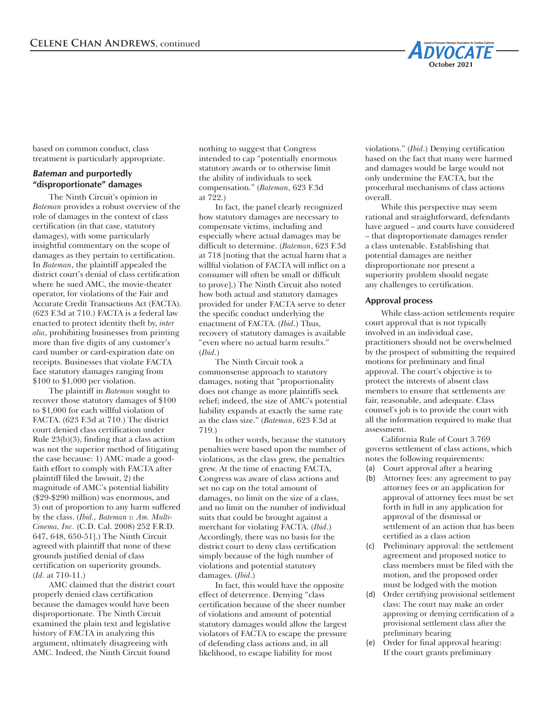

based on common conduct, class treatment is particularly appropriate.

# *Bateman* **and purportedly "disproportionate" damages**

The Ninth Circuit's opinion in *Bateman* provides a robust overview of the role of damages in the context of class certification (in that case, statutory damages), with some particularly insightful commentary on the scope of damages as they pertain to certification. In *Bateman*, the plaintiff appealed the district court's denial of class certification where he sued AMC, the movie-theater operator, for violations of the Fair and Accurate Credit Transactions Act (FACTA). (623 F.3d at 710.) FACTA is a federal law enacted to protect identity theft by, *inter alia*, prohibiting businesses from printing more than five digits of any customer's card number or card-expiration date on receipts. Businesses that violate FACTA face statutory damages ranging from \$100 to \$1,000 per violation.

The plaintiff in *Bateman* sought to recover those statutory damages of \$100 to \$1,000 for each willful violation of FACTA. (623 F.3d at 710.) The district court denied class certification under Rule 23(b)(3), finding that a class action was not the superior method of litigating the case because: 1) AMC made a goodfaith effort to comply with FACTA after plaintiff filed the lawsuit, 2) the magnitude of AMC's potential liability (\$29-\$290 million) was enormous, and 3) out of proportion to any harm suffered by the class. (*Ibid., Bateman v. Am. Multi-Cinema, Inc.* (C.D. Cal. 2008) 252 F.R.D. 647, 648, 650-51].) The Ninth Circuit agreed with plaintiff that none of these grounds justified denial of class certification on superiority grounds. (*Id.* at 710-11.)

AMC claimed that the district court properly denied class certification because the damages would have been disproportionate. The Ninth Circuit examined the plain text and legislative history of FACTA in analyzing this argument, ultimately disagreeing with AMC. Indeed, the Ninth Circuit found

nothing to suggest that Congress intended to cap "potentially enormous statutory awards or to otherwise limit the ability of individuals to seek compensation." (*Bateman*, 623 F.3d at  $722.$ )

In fact, the panel clearly recognized how statutory damages are necessary to compensate victims, including and especially where actual damages may be difficult to determine. (*Bateman*, 623 F.3d at 718 [noting that the actual harm that a willful violation of FACTA will inflict on a consumer will often be small or difficult to prove].) The Ninth Circuit also noted how both actual and statutory damages provided for under FACTA serve to deter the specific conduct underlying the enactment of FACTA. (*Ibid*.) Thus, recovery of statutory damages is available "even where no actual harm results." (*Ibid*.)

The Ninth Circuit took a commonsense approach to statutory damages, noting that "proportionality does not change as more plaintiffs seek relief; indeed, the size of AMC's potential liability expands at exactly the same rate as the class size." (*Bateman*, 623 F.3d at 719.)

In other words, because the statutory penalties were based upon the number of violations, as the class grew, the penalties grew. At the time of enacting FACTA, Congress was aware of class actions and set no cap on the total amount of damages, no limit on the size of a class, and no limit on the number of individual suits that could be brought against a merchant for violating FACTA. (*Ibid*.) Accordingly, there was no basis for the district court to deny class certification simply because of the high number of violations and potential statutory damages. (*Ibid*.)

In fact, this would have the opposite effect of deterrence. Denying "class certification because of the sheer number of violations and amount of potential statutory damages would allow the largest violators of FACTA to escape the pressure of defending class actions and, in all likelihood, to escape liability for most

violations." (*Ibid*.) Denying certification based on the fact that many were harmed and damages would be large would not only undermine the FACTA, but the procedural mechanisms of class actions overall.

While this perspective may seem rational and straightforward, defendants have argued – and courts have considered – that disproportionate damages render a class untenable. Establishing that potential damages are neither disproportionate nor present a superiority problem should negate any challenges to certification.

### **Approval process**

While class-action settlements require court approval that is not typically involved in an individual case, practitioners should not be overwhelmed by the prospect of submitting the required motions for preliminary and final approval. The court's objective is to protect the interests of absent class members to ensure that settlements are fair, reasonable, and adequate. Class counsel's job is to provide the court with all the information required to make that assessment.

California Rule of Court 3.769 governs settlement of class actions, which notes the following requirements:

- (a) Court approval after a hearing
- (b) Attorney fees: any agreement to pay attorney fees or an application for approval of attorney fees must be set forth in full in any application for approval of the dismissal or settlement of an action that has been certified as a class action
- (c) Preliminary approval: the settlement agreement and proposed notice to class members must be filed with the motion, and the proposed order must be lodged with the motion
- Order certifying provisional settlement class: The court may make an order approving or denying certification of a provisional settlement class after the preliminary hearing
- (e) Order for final approval hearing: If the court grants preliminary